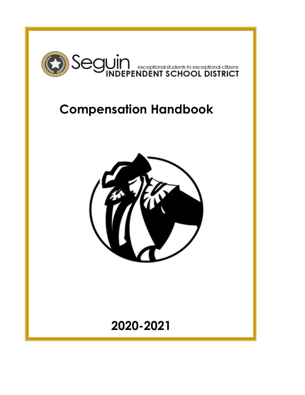

# **Compensation Handbook**



**2020-2021**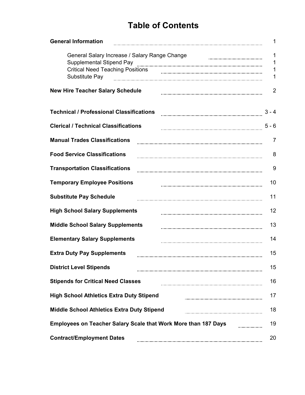### **Table of Contents**

| <b>General Information</b>                                                       |                |
|----------------------------------------------------------------------------------|----------------|
| General Salary Increase / Salary Range Change<br><b>Supplemental Stipend Pay</b> | 1<br>1         |
| <b>Critical Need Teaching Positions</b><br>Substitute Pay                        | 1              |
| <b>New Hire Teacher Salary Schedule</b>                                          | $\overline{2}$ |
| <b>Technical / Professional Classifications</b>                                  | $3 - 4$        |
| <b>Clerical / Technical Classifications</b>                                      | $5 - 6$        |
| <b>Manual Trades Classifications</b>                                             | 7              |
| <b>Food Service Classifications</b>                                              | 8              |
| <b>Transportation Classifications</b>                                            | 9              |
| <b>Temporary Employee Positions</b>                                              | 10             |
| <b>Substitute Pay Schedule</b>                                                   | 11             |
| <b>High School Salary Supplements</b>                                            | 12             |
| <b>Middle School Salary Supplements</b>                                          | 13             |
| <b>Elementary Salary Supplements</b>                                             | 14             |
| <b>Extra Duty Pay Supplements</b>                                                | 15             |
| <b>District Level Stipends</b>                                                   | 15             |
| <b>Stipends for Critical Need Classes</b>                                        | 16             |
| <b>High School Athletics Extra Duty Stipend</b>                                  | 17             |
| <b>Middle School Athletics Extra Duty Stipend</b>                                | 18             |
| <b>Employees on Teacher Salary Scale that Work More than 187 Days</b>            | 19             |
| <b>Contract/Employment Dates</b>                                                 | 20             |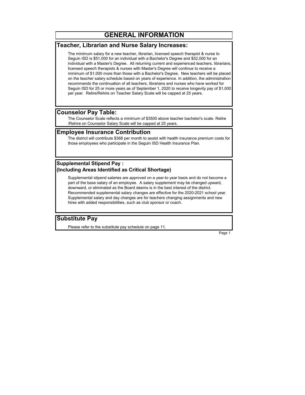#### **GENERAL INFORMATION**

#### **Teacher, Librarian and Nurse Salary Increases:**

The minimum salary for a new teacher, librarian, licensed speech therapist & nurse to Seguin ISD is \$51,000 for an individual with a Bachelor's Degree and \$52,000 for an individual with a Master's Degree. All returning current and experienced teachers, librarians, licensed speech therapists & nurses with Master's Degree will continue to receive a minimum of \$1,000 more than those with a Bachelor's Degree. New teachers will be placed on the teacher salary schedule based on years of experience. In addition, the administration recommends the continuation of all teachers, librarians and nurses who have worked for Seguin ISD for 25 or more years as of September 1, 2020 to receive longevity pay of \$1,000 per year. Retire/Rehire on Teacher Salary Scale will be capped at 25 years.

#### **Counselor Pay Table:**

The Counselor Scale reflects a minimum of \$3500 above teacher bachelor's scale. Retire /Rehire on Counselor Salary Scale will be capped at 25 years.

#### **Employee Insurance Contribution**

The district will contribute \$368 per month to assist with health insurance premium costs for those employees who participate in the Seguin ISD Health Insurance Plan.

#### **Supplemental Stipend Pay : (Including Areas Identified as Critical Shortage)**

Supplemental stipend salaries are approved on a year-to year basis and do not become a part of the base salary of an employee. A salary supplement may be changed upward, downward, or eliminated as the Board deems is in the best interest of the district. Recommended supplemental salary changes are effective for the 2020-2021 school year. Supplemental salary and day changes are for teachers changing assignments and new hires with added responsibilities, such as club sponsor or coach.

#### **Substitute Pay**

Please refer to the substitute pay schedule on page 11.

Page 1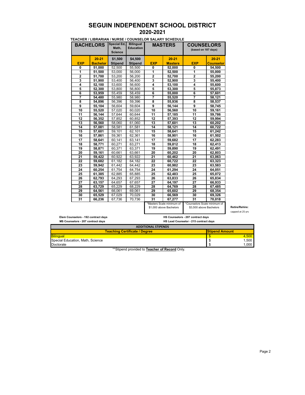#### **SEGUIN INDEPENDENT SCHOOL DISTRICT 2020-2021**

| <b>BACHELORS</b> |                 | Special Ed.<br><b>Bilingual</b><br><b>COUNSELORS</b><br><b>MASTERS</b><br>Math.<br><b>Education</b><br>(based on 187 days)<br><b>Science</b> |                |                |                                                      |                                                         |                  |
|------------------|-----------------|----------------------------------------------------------------------------------------------------------------------------------------------|----------------|----------------|------------------------------------------------------|---------------------------------------------------------|------------------|
|                  | $20 - 21$       | \$1,500                                                                                                                                      | \$4,500        |                | $20 - 21$                                            |                                                         | $20 - 21$        |
| EXP              | <b>Bachelor</b> | <b>Stipend</b>                                                                                                                               | <b>Stipend</b> | <b>EXP</b>     | <b>Masters</b>                                       | EXP                                                     | <b>Counselor</b> |
| 0                | 51,000          | 52,500                                                                                                                                       | 55,500         | 0              | 52,000                                               | 0                                                       | 54,500           |
| 1                | 51,500          | 53,000                                                                                                                                       | 56,000         | 1              | 52,500                                               | 1                                                       | 55,000           |
| $\mathbf 2$      | 51,700          | 53,200                                                                                                                                       | 56,200         | $\overline{2}$ | 52,700                                               | $\overline{2}$                                          | 55,200           |
| 3                | 51,900          | 53,400                                                                                                                                       | 56.400         | 3              | 52,900                                               | 3                                                       | 55,400           |
| 4                | 52,100          | 53,600                                                                                                                                       | 56,600         | 4              | 53,100                                               | 4                                                       | 55,600           |
| 5                | 52,300          | 53.800                                                                                                                                       | 56,800         | 5              | 53,300                                               | 5                                                       | 55,873           |
| 6                | 53,959          | 55,459                                                                                                                                       | 58,459         | 6              | 55,000                                               | $\overline{6}$                                          | 57,601           |
| 7                | 54.480          | 55.980                                                                                                                                       | 58,980         | 7              | 55,520                                               | 7                                                       | 58,121           |
| 8                | 54,896          | 56,396                                                                                                                                       | 59,396         | 8              | 55,936                                               | 8                                                       | 58,537           |
| 9                | 55,104          | 56,604                                                                                                                                       | 59,604         | 9              | 56,144                                               | 9                                                       | 58,745           |
| 10               | 55,520          | 57,020                                                                                                                                       | 60,020         | 10             | 56,560                                               | 10                                                      | 59,161           |
| 11               | 56,144          | 57.644                                                                                                                                       | 60.644         | 11             | 57,185                                               | 11                                                      | 59,786           |
| 12               | 56,352          | 57,852                                                                                                                                       | 60,852         | 12             | 57,393                                               | 12                                                      | 59,994           |
| 13               | 56,560          | 58,060                                                                                                                                       | 61,060         | 13             | 57,601                                               | 13                                                      | 60,202           |
| 14               | 57,081          | 58,581                                                                                                                                       | 61.581         | 14             | 58,121                                               | 14                                                      | 60,722           |
| 15               | 57,601          | 59,101                                                                                                                                       | 62,101         | 15             | 58,641                                               | 15                                                      | 61,242           |
| 16               | 57,861          | 59,361                                                                                                                                       | 62,361         | 16             | 58,901                                               | 16                                                      | 61,502           |
| 17               | 58,641          | 60,141                                                                                                                                       | 63,141         | 17             | 59,682                                               | 17                                                      | 62,283           |
| 18               | 58,771          | 60,271                                                                                                                                       | 63,271         | 18             | 59,812                                               | 18                                                      | 62,413           |
| 19               | 58,871          | 60,371                                                                                                                                       | 63,371         | 19             | 59,890                                               | 19                                                      | 62,491           |
| 20               | 59,161          | 60,661                                                                                                                                       | 63,661         | 20             | 60,202                                               | 20                                                      | 62,803           |
| 21               | 59,422          | 60,922                                                                                                                                       | 63,922         | 21             | 60,462                                               | 21                                                      | 63,063           |
| 22               | 59,682          | 61.182                                                                                                                                       | 64.182         | 22             | 60.722                                               | 22                                                      | 63,323           |
| 23               | 59,942          | 61,442                                                                                                                                       | 64,442         | 23             | 60,982                                               | 23                                                      | 63,583           |
| 24               | 60,254          | 61.754                                                                                                                                       | 64,754         | 24             | 61,294                                               | 24                                                      | 64,051           |
| 25               | 61,385          | 62,885                                                                                                                                       | 65,885         | 25             | 62,483                                               | 25                                                      | 65,072           |
| 26               | 62.793          | 64.293                                                                                                                                       | 67.293         | 26             | 63,833                                               | 26                                                      | 65.834           |
| 27               | 63,157          | 64,657                                                                                                                                       | 67,657         | 27             | 64,197                                               | 27                                                      | 66,933           |
| 28               | 63,729          | 65,229                                                                                                                                       | 68,229         | 28             | 64,769                                               | 28                                                      | 67,485           |
| 29               | 64,561          | 66,061                                                                                                                                       | 69,061         | 29             | 65,602                                               | 29                                                      | 68,354           |
| 30               | 65.529          | 67.029                                                                                                                                       | 70.029         | 30             | 66.569                                               | 30                                                      | 69.326           |
| 31               | 66,236          | 67,736                                                                                                                                       | 70,736         | 31             | 67.277                                               | $\overline{31}$                                         | 70.018           |
|                  |                 |                                                                                                                                              |                |                | *Masters Scale minimum of<br>\$1,000 above Bachelors | *Counselors Scale minimum of<br>\$3,500 above Bachelors |                  |

#### **TEACHER / LIBRARIAN / NURSE / COUNSELOR SALARY SCHEDULE**

**Retire/Rehire:** capped at 25 yrs

 **Elem Counselors - 192 contract days**

**HS Counselors - 207 contract days HS Lead Counselor - 215 contract days** 

| <b>ADDITIONAL STIPENDS</b>           |                       |       |
|--------------------------------------|-----------------------|-------|
| <b>Teaching Certificate / Degree</b> | <b>Stipend Amount</b> |       |
| <b>Bilingual</b>                     |                       | .500  |
| Special Education, Math, Science     |                       | 1.500 |
| Doctorate                            |                       | 1.000 |

\*\*Stipend provided to **Teacher of Record** Only.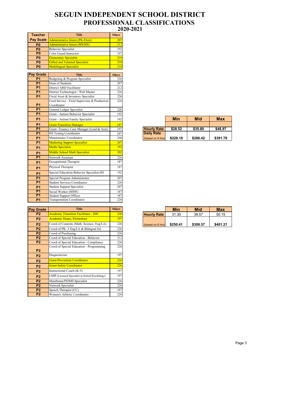#### **SEGUIN INDEPENDENT SCHOOL DISTRICT 2020-2021 PROFESSIONAL CLASSIFICATIONS**

| <b>Teacher</b>   | <b>Title</b>                                 | #days |                    |            |            |            |
|------------------|----------------------------------------------|-------|--------------------|------------|------------|------------|
| <b>Pay Scale</b> | <b>Administrative Intern (PK-Elem)</b>       | 207   |                    |            |            |            |
| P <sub>0</sub>   | <b>Administrative Intern (MS/HS)</b>         | 212   |                    |            |            |            |
| P <sub>0</sub>   | <b>Behavior Specialist</b>                   | 192   |                    |            |            |            |
| P <sub>0</sub>   | Color Guard Instructor                       | 197   |                    |            |            |            |
| P <sub>0</sub>   | <b>Elementary Specialist</b>                 | 210   |                    |            |            |            |
| P <sub>0</sub>   | <b>Gifted and Talented Specialist</b>        | 210   |                    |            |            |            |
| P <sub>0</sub>   | <b>Multilingual Specialist</b>               | 210   |                    |            |            |            |
|                  |                                              |       |                    |            |            |            |
| <b>Pay Grade</b> | <b>Title</b>                                 | #days |                    |            |            |            |
| <b>P1</b>        | Budgeting & Program Specialist               | 226   |                    |            |            |            |
| P <sub>1</sub>   | Dean of Students                             | 207   |                    |            |            |            |
| <b>P1</b>        | District ARD Facilitator                     | 212   |                    |            |            |            |
| <b>P1</b>        | District Technologist / Web Master           | 226   |                    |            |            |            |
| P <sub>1</sub>   | Fixed Asset & Inventory Specialist           | 226   |                    |            |            |            |
|                  | Food Service - Field Supervisor & Production | 226   |                    |            |            |            |
| <b>P1</b>        | Coordinator                                  |       |                    |            |            |            |
| <b>P1</b>        | General Ledger Specialist                    | 226   |                    |            |            |            |
| <b>P1</b>        | Grant - Autism Behavior Specialist           | 192   |                    |            |            |            |
| <b>P1</b>        | Grant - Autism Family Specialist             | 192   |                    | <b>Min</b> | <b>Mid</b> | <b>Max</b> |
| <b>P1</b>        | <b>Grant-Transition Manager</b>              | 187   |                    |            |            |            |
| P <sub>1</sub>   | Grant-Truancy Case Manager (Lead & Asst)     | 197   | <b>Hourly Rate</b> | \$28.52    | \$35.80    | \$48.97    |
| <b>P1</b>        | HS Testing Coordinator                       | 207   | <b>Daily Rate</b>  |            |            |            |
| <b>P1</b>        | Maintenance Coordinator                      | 240   | (based on 8 hrs)   | \$228.18   | \$286.42   | \$391.78   |
| <b>P1</b>        | <b>Marketing Support Specialist</b>          | 207   |                    |            |            |            |
| <b>P1</b>        | <b>Media Specialist</b>                      | 192   |                    |            |            |            |
| <b>P1</b>        | <b>Middle School Math Specialist</b>         | 202   |                    |            |            |            |
| P <sub>1</sub>   | Network Assistant                            | 226   |                    |            |            |            |
| <b>P1</b>        | Occupational Therapist                       | 187   |                    |            |            |            |
| <b>P1</b>        | Physical Therapist                           | 187   |                    |            |            |            |
| <b>P1</b>        | Special Education-Behavior Specialist-HS     | 192   |                    |            |            |            |
| P <sub>1</sub>   | Special Program Administrator                | 207   |                    |            |            |            |
| P <sub>1</sub>   | Student Services Coordinator                 | 226   |                    |            |            |            |
| <b>P1</b>        | <b>Student Support Specialist</b>            | 207   |                    |            |            |            |
| P <sub>1</sub>   | Social Worker (MSW)                          | 187   |                    |            |            |            |
| P1               | Student Support Officer                      | 187   |                    |            |            |            |
| <b>P1</b>        | <b>Transportation Coordinator</b>            | 226   |                    |            |            |            |

| Pav<br>Grade   | <b>Title</b>                                    | #days      |
|----------------|-------------------------------------------------|------------|
| P <sub>2</sub> | <b>Academic Transition Facilitator - JDC</b>    | <b>220</b> |
| P <sub>2</sub> | <b>Academic Deans, Elementary</b>               | 197        |
| P <sub>2</sub> | Coord of Contents (Math, Science, Eng/LA)       | 226        |
| P <sub>2</sub> | Coord of PK-5 Eng/LA & Bilingual Ed.            | 226        |
| P <sub>2</sub> | Coord of Purchasing                             | 226        |
| P <sub>2</sub> | Coord of Special Education - Behavior           | 212        |
| P <sub>2</sub> | Coord of Special Education - Compliance         | 226        |
| P <sub>2</sub> | Coord of Special Education - Programming        | 226        |
| P <sub>2</sub> | Diagnostician                                   | 197        |
| P <sub>2</sub> | <b>Grant-Prevention Coordinator</b>             | 226        |
| P <sub>2</sub> | <b>Grant-Safety Coordinator</b>                 | 226        |
| P <sub>2</sub> | Instructional Coach (K-5)                       | 197        |
| P <sub>2</sub> | LSSP (Licensed Specialist in School Psychology) | 197        |
| P <sub>2</sub> | Mainframe/PEIMS Specialist                      | 226        |
| P <sub>2</sub> | Network Specialist                              | 226        |
| <b>P2</b>      | Speech Therapist (CC)                           | 187        |
| P <sub>2</sub> | Women's Athletic Coordinator                    | 226        |

|                    | Min      | Mid      | Max      |
|--------------------|----------|----------|----------|
|                    |          |          |          |
| <b>Hourly Rate</b> | \$28.52  | \$35.80  | \$48.97  |
| <b>Daily Rate</b>  |          |          |          |
| (based on 8 hrs)   | \$228.18 | \$286.42 | \$391.78 |

|                    | Min      | Mid      | <b>Max</b> |
|--------------------|----------|----------|------------|
| <b>Hourly Rate</b> | 31.30    | 38.57    | 50.15      |
|                    |          |          |            |
| (based on 8 hrs)   | \$250.41 | \$308.57 | \$401.21   |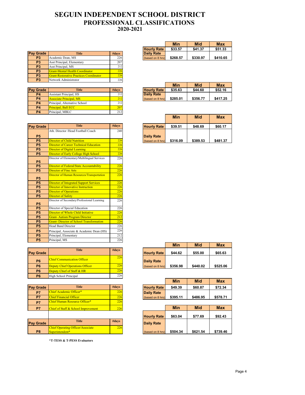#### **SEGUIN INDEPENDENT SCHOOL DISTRICT 2020-2021 PROFESSIONAL CLASSIFICATIONS**

|                  |                                         |       | .                 | -----    | -        |  |
|------------------|-----------------------------------------|-------|-------------------|----------|----------|--|
| <b>Pay Grade</b> | Title                                   | #days | <b>Daily Rate</b> |          |          |  |
| P <sub>3</sub>   | Academic Dean, MS                       | 226   | (based on 8 hrs)  | \$268.57 | \$330.97 |  |
| P <sub>3</sub>   | Asst Principal, Elementary              | 207   |                   |          |          |  |
| P <sub>3</sub>   | Asst Principal, MS                      | 212   |                   |          |          |  |
| P <sub>3</sub>   | Grant-Mental Health Coordinator         | 226   |                   |          |          |  |
| P <sub>3</sub>   | Grant-Restorative Practices Coordinator | 226   |                   |          |          |  |
| P <sub>3</sub>   | Network Administrator                   | 226   |                   |          |          |  |
|                  |                                         |       |                   |          | --- -    |  |

|                  |                                |       |                    | ш        | <b>IVIIU</b> | <b>MAX</b> |
|------------------|--------------------------------|-------|--------------------|----------|--------------|------------|
| <b>Pay Grade</b> | Title                          | #days | <b>Hourly Rate</b> | \$35.63  | \$44.60      | \$52.16    |
| <b>P4</b>        | <b>Assistant Principal, HS</b> | 212   | <b>Daily Rate</b>  |          |              |            |
| <b>P4</b>        | <b>Associate Principal, MS</b> | 212   | (based on 8 hrs)   | \$285.01 | \$356.77     | \$417.25   |
| <b>P4</b>        | Principal, Alternative School  | 212   |                    |          |              |            |
| <b>P4</b>        | <b>Principal, Ball ECC</b>     | 207   |                    |          |              |            |
| <b>P4</b>        | Principal, MBLC                | 212   |                    |          |              |            |
|                  |                                |       |                    |          |              |            |

| <b>Pay Grade</b> | <b>Title</b>                                    | #days |
|------------------|-------------------------------------------------|-------|
|                  | Ath. Director /Head Football Coach              | 240   |
| <b>P5</b>        |                                                 |       |
| <b>P5</b>        | <b>Director of Child Nutrition</b>              | 226   |
| <b>P5</b>        | <b>Director of Career Technical Education</b>   | 226   |
| <b>P5</b>        | Director of Digital Learning                    | 226   |
| <b>P5</b>        | Director of Early College High School           | 226   |
|                  | Director of Elementary/Multilingual Services    | 226   |
| <b>P5</b>        |                                                 |       |
| <b>P5</b>        | Director of Federal/State Accountability        | 226   |
| <b>P5</b>        | <b>Director of Fine Arts</b>                    | 226   |
| <b>P5</b>        | Director of Human Resources/Transportation      | 226   |
| P <sub>5</sub>   | <b>Director of Integrated Support Services</b>  | 226   |
| <b>P5</b>        | Director of Innovative Instruction              | 226   |
| <b>P5</b>        | <b>Director of Operations</b>                   | 226   |
| <b>P5</b>        | <b>Director of Safety</b>                       | 226   |
| <b>P5</b>        | Director of Secondary/Professional Learning     | 226   |
| P <sub>5</sub>   | Director of Special Education                   | 226   |
| <b>P5</b>        | Director of Whole Child Initiative              | 226   |
| <b>P5</b>        | <b>Grant-Autism Program Director</b>            | 212   |
| <b>P5</b>        | <b>Grant- Director of School Transformation</b> | 226   |
| P <sub>5</sub>   | <b>Head Band Director</b>                       | 226   |
| <b>P5</b>        | Principal, Associate & Academic Dean (HS)       | 226   |
| <b>P5</b>        | Principal, Elementary                           | 212   |
| P <sub>5</sub>   | Principal, MS                                   | 226   |

|                  | <b>Title</b>                           | #days |                    |          |          |          |
|------------------|----------------------------------------|-------|--------------------|----------|----------|----------|
| <b>Pay Grade</b> |                                        |       | <b>Hourly Rate</b> | \$44.62  | \$55.00  | \$65.63  |
|                  | <b>Chief Communication Officer</b>     | 226   |                    |          |          |          |
| <b>P6</b>        |                                        |       | Daily Rate         |          |          |          |
| <b>P6</b>        | <b>Deputy Chief Operations Officer</b> | 226   | (based on 8 hrs)   | \$356.98 | \$440.02 | \$525.06 |
| <b>P6</b>        | Deputy Chief of Staff & HR             | 226   |                    |          |          |          |
| <b>P6</b>        | High School Principal                  | 226   |                    |          |          |          |

| <b>Pay Grade</b> | <b>Title</b>                        | #days | <b>Hourly Rate</b> | \$49.39  | \$60.87    | \$72.34    |
|------------------|-------------------------------------|-------|--------------------|----------|------------|------------|
| P7               | Chief Academic Officer*             | 226   | <b>Daily Rate</b>  |          |            |            |
| P7               | <b>Chief Financial Officer</b>      | 226   | (based on 8 hrs)   | \$395.11 | \$486.95   | \$578.71   |
| P7               | Chief Human Resource Officer*       | 226   |                    |          |            |            |
| P7               | Chief of Staff & School Improvement | 226   |                    | Min      | <b>Mid</b> | <b>Max</b> |
|                  |                                     |       | <b>Hourly Rate</b> | \$63.04  | \$77.69    | \$92.43    |

| <b>Pay Grade</b>                                                              |     | <b>Daily Rate</b> |
|-------------------------------------------------------------------------------|-----|-------------------|
| <b>Chief Operating Officer/Associate</b><br>P <sub>8</sub><br>Superintendent* | 226 | (based on 8 h     |

**\*T-TESS & T-PESS Evaluators**

|                    | <b>Min</b> | Mid      | Max      |
|--------------------|------------|----------|----------|
| <b>Hourly Rate</b> | \$33.57    | \$41.37  | \$51.33  |
| <b>Daily Rate</b>  |            |          |          |
| (based on 8 hrs)   | \$268.57   | \$330.97 | \$410.65 |

|                    | Min      | Mid      | <b>Max</b> |
|--------------------|----------|----------|------------|
| <b>Hourly Rate</b> | \$35.63  | \$44.60  | \$52.16    |
| <b>Daily Rate</b>  |          |          |            |
| (based on 8 hrs)   | \$285.01 | \$356.77 | \$417.25   |

|                    | Min      | Mid      | Max      |
|--------------------|----------|----------|----------|
| <b>Hourly Rate</b> | \$39.51  | \$48.69  | \$60.17  |
|                    |          |          |          |
| <b>Daily Rate</b>  |          |          |          |
| (based on 8 hrs)   | \$316.09 | \$389.53 | \$481.37 |

|                    | Min      | Mid      | Max      |
|--------------------|----------|----------|----------|
| <b>Hourly Rate</b> | \$44.62  | \$55.00  | \$65.63  |
| <b>Daily Rate</b>  |          |          |          |
| (based on 8 hrs)   | \$356.98 | \$440.02 | \$525.06 |

|                    | <b>Min</b> | Mid      | <b>Max</b> |
|--------------------|------------|----------|------------|
| <b>Hourly Rate</b> | \$49.39    | \$60.87  | \$72.34    |
| <b>Daily Rate</b>  |            |          |            |
| (based on 8 hrs)   | \$395.11   | \$486.95 | \$578.71   |

|                    | Min      | Mid      | Max      |
|--------------------|----------|----------|----------|
| <b>Hourly Rate</b> | \$63.04  | \$77.69  | \$92.43  |
| <b>Daily Rate</b>  |          |          |          |
| (based on 8 hrs)   | \$504.34 | \$621.54 | \$739.46 |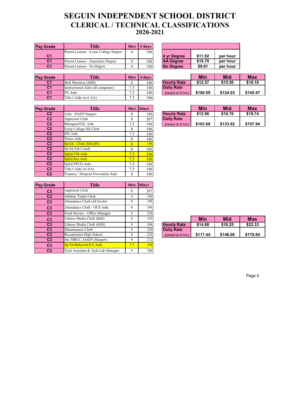### **SEGUIN INDEPENDENT SCHOOL DISTRICT CLERICAL / TECHNICAL CLASSIFICATIONS 2020-2021**

| <b>Pay Grade</b> | <b>Title</b>                           | #hrs | $#$ days |                  |         |          |
|------------------|----------------------------------------|------|----------|------------------|---------|----------|
|                  | Parent Liaison - 4 year College Degree | 4    | 186      |                  |         |          |
| C <sub>1</sub>   |                                        |      |          | 4 vr Dearee      | \$11.92 | per hour |
| C <sub>1</sub>   | Parent Liaison - Associates Degree     |      | 1861     | <b>AA Dearee</b> | \$10.70 | per hour |
| C <sub>1</sub>   | Parent Liaison - No Degree             |      | 186      | <b>No Degree</b> | \$9.61  | per hour |

| <b>Pay Grade</b> | <b>Title</b>                      | #hrs     | $#$ davs         |                    | Min      | <b>Mid</b> | <b>Max</b> |
|------------------|-----------------------------------|----------|------------------|--------------------|----------|------------|------------|
| C <sub>1</sub>   | Hall Monitors (SHS)               |          | 186 <sup>1</sup> | <b>Hourly Rate</b> | \$12.57  | \$15.50    | \$18.18    |
| C <sub>1</sub>   | Instructional Aide (all campuses) | 75<br>ن. | 186              | <b>Daily Rate</b>  |          |            |            |
| C <sub>1</sub>   | <b>PE</b> Aide                    | 7.5      | 186              | (based on 8 hrs)   | \$100.59 | \$124.03   | \$145.47   |
| C <sub>1</sub>   | Title I Aide (w/o AA)             | 75<br>ن. | 1861             |                    |          |            |            |

| 4 yr Degree      | \$11.92 | per hour |
|------------------|---------|----------|
| <b>AA Degree</b> | \$10.70 | per hour |
| No Degree        | \$9.61  | per hour |

|                    | Min      | <b>Mid</b> | Max      |
|--------------------|----------|------------|----------|
| <b>Hourly Rate</b> | \$12.57  | \$15.50    | \$18.18  |
| <b>Daily Rate</b>  |          |            |          |
| (based on 8 hrs)   | \$100.59 | \$124.03   | \$145.47 |

| <b>Pay Grade</b> | <b>Title</b>                      |     | #hrs #days |                    | Min      | <b>Mid</b> | <b>Max</b> |
|------------------|-----------------------------------|-----|------------|--------------------|----------|------------|------------|
| C <sub>2</sub>   | Aide - DAEP Saegert               | 8   | 186        | <b>Hourly Rate</b> | \$12.96  | \$16.70    | \$19.74    |
| C <sub>2</sub>   | Appraisal Clerk                   | 8   | 207        | <b>Daily Rate</b>  |          |            |            |
| C <sub>2</sub>   | Bilingual/ESL Aide                | 7.5 | 186        | (based on 8 hrs)   | \$103.68 | \$133.62   | \$157.94   |
| C <sub>2</sub>   | Early College HS Clerk            | 8   | 196        |                    |          |            |            |
| C <sub>2</sub>   | ISS Aide                          | 7.5 | 186        |                    |          |            |            |
| C <sub>2</sub>   | Nurse Aide                        | 8   | 186        |                    |          |            |            |
| C <sub>2</sub>   | Sp Ed - Clerk (MS,HS)             | 8   | 196        |                    |          |            |            |
| C <sub>2</sub>   | Sp Ed Job Coach                   | 8   | 186        |                    |          |            |            |
| C <sub>2</sub>   | <b>SpEd CM Aide</b>               | 7.5 | 186        |                    |          |            |            |
| C <sub>2</sub>   | <b>SpEd Res Aide</b>              | 7.5 | 186        |                    |          |            |            |
| C <sub>2</sub>   | SpEd PPCD Aide                    | 7.5 | 186        |                    |          |            |            |
| C <sub>2</sub>   | Title I Aide (w/AA)               | 7.5 | 186        |                    |          |            |            |
| C <sub>2</sub>   | Truancy / Dropout Prevention Aide | 8   | 186        |                    |          |            |            |

| <b>Pay Grade</b> | <b>Title</b>                      | #hrs | #days |                    |          |            |            |
|------------------|-----------------------------------|------|-------|--------------------|----------|------------|------------|
| C <sub>3</sub>   | Appraisal Clerk                   | 8    | 207   |                    |          |            |            |
| C <sub>3</sub>   | Athletic Ticket Clerk             | 4    | 186   |                    |          |            |            |
| C <sub>3</sub>   | Attendance Clerk (all levels)     | 8    | 196   |                    |          |            |            |
| C <sub>3</sub>   | Attendance Clerk / OCS Aide       | 8    | 196   |                    |          |            |            |
| C <sub>3</sub>   | Food Service - Office Manager     | 8    | 226   |                    |          |            |            |
| C <sub>3</sub>   | Library Media Clerk (Ball)        | 8    | 192   |                    | Min      | <b>Mid</b> | <b>Max</b> |
| C <sub>3</sub>   | Library Media Clerk (SHS)         | 8    | 186   | <b>Hourly Rate</b> | \$14.68  | \$18.25    | \$22.33    |
| C <sub>3</sub>   | Maintenance Clerk                 | 8    | 226   | <b>Daily Rate</b>  |          |            |            |
| C <sub>3</sub>   | Receptionist High School          | 8    | 226   | (based on 8 hrs)   | \$117.44 | \$146.00   | \$178.64   |
| C <sub>3</sub>   | Sec MBLC, DAEP (Saegert)          | 8    | 212   |                    |          |            |            |
| C <sub>3</sub>   | Sp Ed-Behavior/EA Aide            | 7.5  | 186   |                    |          |            |            |
| C <sub>3</sub>   | Tech Assistant & Tech Lab Manager | 8    | 1861  |                    |          |            |            |

|                    | Min      | Mid      | Max      |
|--------------------|----------|----------|----------|
| <b>Hourly Rate</b> | \$12.96  | \$16.70  | \$19.74  |
| <b>Daily Rate</b>  |          |          |          |
| (based on 8 hrs)   | \$103.68 | \$133.62 | \$157.94 |

|                    | Min      | Mid      | <b>Max</b> |
|--------------------|----------|----------|------------|
| <b>Hourly Rate</b> | \$14.68  | \$18.25  | \$22.33    |
| <b>Daily Rate</b>  |          |          |            |
| (based on 8 hrs)   | \$117.44 | \$146.00 | \$178.64   |

Page 5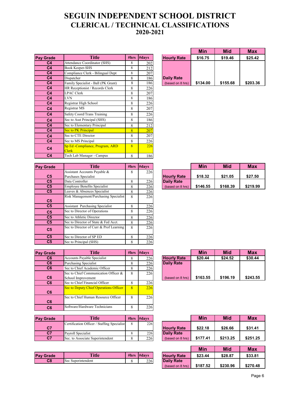### **SEGUIN INDEPENDENT SCHOOL DISTRICT CLERICAL / TECHNICAL CLASSIFICATIONS 2020-2021**

| <b>Pay Grade</b> | <b>Title</b>                                    | #hrs | #days | <b>Hourly Rate</b> | \$16.75  | \$19.46  | \$25.42  |
|------------------|-------------------------------------------------|------|-------|--------------------|----------|----------|----------|
| C <sub>4</sub>   | Attendance Coordinator (SHS)                    | 8    | 202   |                    |          |          |          |
| C <sub>4</sub>   | Book Keeper-SHS                                 | 8    | 212   |                    |          |          |          |
| C <sub>4</sub>   | Compliance Clerk - Bilingual Dept               | 8    | 207   |                    |          |          |          |
| C <sub>4</sub>   | Dispatcher                                      | 8    | 186   | <b>Daily Rate</b>  |          |          |          |
| C <sub>4</sub>   | Family Specialist - Ball (PK Grant)             | 8    | 186   | (based on 8 hrs)   | \$134.00 | \$155.68 | \$203.36 |
| C <sub>4</sub>   | HR Receptionist / Records Clerk                 | 8    | 226   |                    |          |          |          |
| C <sub>4</sub>   | <b>LPAC Clerk</b>                               | 8    | 207   |                    |          |          |          |
| C <sub>4</sub>   | <b>LVN</b>                                      | 8    | 186   |                    |          |          |          |
| C <sub>4</sub>   | Registrar High School                           | 8    | 226   |                    |          |          |          |
| C <sub>4</sub>   | Registrar MS                                    | 8    | 207   |                    |          |          |          |
| C <sub>4</sub>   | Safety Coord/Trans Training                     | 8    | 226   |                    |          |          |          |
| C <sub>4</sub>   | Sec to Asst Principal (SHS)                     | 8    | 186   |                    |          |          |          |
| C <sub>4</sub>   | Sec to Elementary Principal                     | 8    | 212   |                    |          |          |          |
| C <sub>4</sub>   | Sec to PK Principal                             | 8    | 207   |                    |          |          |          |
| C <sub>4</sub>   | Sec to CTE Director                             | 8    | 207   |                    |          |          |          |
| C <sub>4</sub>   | Sec to MS Principal                             | 8    | 226   |                    |          |          |          |
| C <sub>4</sub>   | Sp Ed -Compliance, Program, ARD<br><b>Clerk</b> | 8    | 226   |                    |          |          |          |
| C <sub>4</sub>   | Tech Lab Manager - Campus                       | 8    | 186   |                    |          |          |          |

| <b>Pay Grade</b> | <b>Title</b>                            |   | #hrs $#days$ |                    | Min      | <b>Mid</b> | <b>Max</b> |
|------------------|-----------------------------------------|---|--------------|--------------------|----------|------------|------------|
|                  | Assistant Accounts Payable &            | 8 | 226          |                    |          |            |            |
| C <sub>5</sub>   | Purchases Specialist                    |   |              | <b>Hourly Rate</b> | \$18.32  | \$21.05    | \$27.50    |
| C <sub>5</sub>   | Data Controller                         | 8 | 226          | <b>Daily Rate</b>  |          |            |            |
| C <sub>5</sub>   | <b>Employee Benefits Specialist</b>     | 8 | 226          | (based on 8 hrs)   | \$146.55 | \$168.39   | \$219.99   |
| C <sub>5</sub>   | Leaves & Absences Specialist            | 8 | 226          |                    |          |            |            |
| C <sub>5</sub>   | Risk Management/Purchasing Specialist   | 8 | 226          |                    |          |            |            |
| C <sub>5</sub>   | <b>Assistant Purchasing Specialist</b>  | 8 | 226          |                    |          |            |            |
| C <sub>5</sub>   | Sec to Director of Operations           | 8 | 226          |                    |          |            |            |
| C <sub>5</sub>   | Sec to Athletic Director                | 8 | 226          |                    |          |            |            |
| C <sub>5</sub>   | Sec to Director of State & Fed Acct.    | 8 | 226          |                    |          |            |            |
| C <sub>5</sub>   | Sec to Director of Curr & Prof Learning | 8 | 226          |                    |          |            |            |
| C <sub>5</sub>   | Sec to Director of SP ED                | 8 | 226          |                    |          |            |            |
| C <sub>5</sub>   | Sec to Principal (SHS)                  | 8 | 226          |                    |          |            |            |

| <b>Pay Grade</b> | Title                                                      | #hrs           | $\#davs$ |                    | Min      | <b>Mid</b> | <b>Max</b> |
|------------------|------------------------------------------------------------|----------------|----------|--------------------|----------|------------|------------|
| C <sub>6</sub>   | Accounts Payable Specialist                                | 8              | 226      | <b>Hourly Rate</b> | \$20.44  | \$24.52    | \$30.44    |
| C <sub>6</sub>   | <b>Purchasing Specialist</b>                               | 8              | 226      | <b>Daily Rate</b>  |          |            |            |
| C <sub>6</sub>   | Sec to Chief Academic Officer                              | 8              | 226      |                    |          |            |            |
| C <sub>6</sub>   | Sec to Chief Communication Officer &<br>School Improvement | 8              | 226      | (based on 8 hrs)   | \$163.55 | \$196.19   | \$243.5    |
| C <sub>6</sub>   | Sec to Chief Financial Officer                             | 8              | 226      |                    |          |            |            |
| C <sub>6</sub>   | Sec to Deputy Chief Operations Officer                     | $\overline{8}$ | 226      |                    |          |            |            |
| C6               | Sec to Chief Human Resource Officer                        | 8              | 226      |                    |          |            |            |
| C <sub>6</sub>   | Software/Hardware Technicians                              | 8              | 226      |                    |          |            |            |

| <b>Pay Grade</b> | <b>Title</b>                                | #hrs | $\mathbf{H}$ davs |                    | Min      | Mid      | <b>Max</b> |
|------------------|---------------------------------------------|------|-------------------|--------------------|----------|----------|------------|
|                  | Certification Officer / Staffing Specialist |      | 226               |                    |          |          |            |
| C7               |                                             |      |                   | <b>Hourly Rate</b> | \$22.18  | \$26.66  | \$31.41    |
| C <sub>7</sub>   | Payroll Specialist                          |      | 226               | Daily Rate         |          |          |            |
| C7               | Sec. to Associate Superintendent            |      | 226               | (based on 8 hrs)   | \$177.41 | \$213.25 | \$251.25   |

| <b>Pay Grade</b>                 | <b>Title</b>   | #hrs | #davs | Rate<br><b>Hourly</b> | con.<br>\$23.44 | \$28.87 | 0.0000<br>333.OT |
|----------------------------------|----------------|------|-------|-----------------------|-----------------|---------|------------------|
| $\overline{\mathbf{c}}$ 8<br>Sec | Superintendent |      | 226   | <b>Daily Rate</b>     |                 |         |                  |

|                    | Min      | <b>Mid</b> | Max      |
|--------------------|----------|------------|----------|
| <b>Hourly Rate</b> | \$16.75  | \$19.46    | \$25.42  |
|                    |          |            |          |
|                    |          |            |          |
| <b>Daily Rate</b>  |          |            |          |
| (based on 8 hrs)   | \$134.00 | \$155.68   | \$203.36 |

|                    | Min      | Mid      | Max      |
|--------------------|----------|----------|----------|
| <b>Hourly Rate</b> | \$18.32  | \$21.05  | \$27.50  |
| <b>Daily Rate</b>  |          |          |          |
| (based on 8 hrs)   | \$146.55 | \$168.39 | \$219.99 |

|                    | Min      | Mid      | Max      |
|--------------------|----------|----------|----------|
| <b>Hourly Rate</b> | \$20.44  | \$24.52  | \$30.44  |
| <b>Daily Rate</b>  |          |          |          |
|                    |          |          |          |
|                    |          |          |          |
| (based on 8 hrs)   | \$163.55 | \$196.19 | \$243.55 |

|                   |                    | Min      | <b>Mid</b> | Max      |
|-------------------|--------------------|----------|------------|----------|
|                   | <b>Hourly Rate</b> | \$22.18  | \$26.66    | \$31.41  |
| <b>Daily Rate</b> |                    |          |            |          |
|                   | (based on 8 hrs)   | \$177.41 | \$213.25   | \$251.25 |

|                    | Min      | <b>Mid</b> | Max      |
|--------------------|----------|------------|----------|
| <b>Hourly Rate</b> | \$23.44  | \$28.87    | \$33.81  |
| <b>Daily Rate</b>  |          |            |          |
| (based on 8 hrs)   | \$187.52 | \$230.96   | \$270.48 |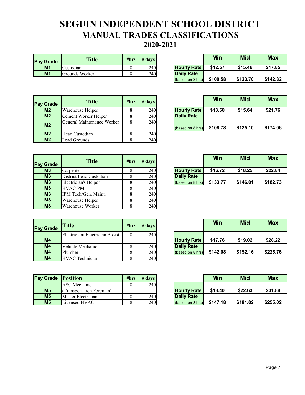### **SEGUIN INDEPENDENT SCHOOL DISTRICT MANUAL TRADES CLASSIFICATIONS 2020-2021**

| <b>Pay Grade</b> | <b>Title</b>   | #hrs | $#$ days |                    | <b>Min</b> | <b>Mid</b> | <b>Max</b> |
|------------------|----------------|------|----------|--------------------|------------|------------|------------|
| M1               | Custodian      |      | 240      | <b>Hourly Rate</b> | \$12.57    | \$15.46    | \$17.85    |
| M <sub>1</sub>   | Grounds Worker |      | 240      | Daily Rate         |            |            |            |

|                    | Min      | <b>Mid</b> | Max      |
|--------------------|----------|------------|----------|
| <b>Hourly Rate</b> | \$12.57  | \$15.46    | \$17.85  |
| <b>Daily Rate</b>  |          |            |          |
| (based on 8 hrs)   | \$100.58 | \$123.70   | \$142.82 |

| <b>Pay Grade</b> | <b>Title</b>               | #hrs | $#$ days |                    | <b>Min</b> | <b>Mid</b> | <b>Max</b> |
|------------------|----------------------------|------|----------|--------------------|------------|------------|------------|
| M <sub>2</sub>   | Warehouse Helper           | 8    | 240      | <b>Hourly Rate</b> | \$13.60    | \$15.64    | \$21.76    |
| M <sub>2</sub>   | Cement Worker Helper       |      | 240      | <b>Daily Rate</b>  |            |            |            |
| M <sub>2</sub>   | General Maintenance Worker | 8    | 240      | (based on 8 hrs)   | \$108.78   | \$125.10   | \$174.0    |
| M <sub>2</sub>   | Head Custodian             | 8    | 240      |                    |            |            |            |
| M <sub>2</sub>   | Lead Grounds               |      | 240      |                    |            |            |            |

|                    | Min      | <b>Mid</b> | Max      |
|--------------------|----------|------------|----------|
| <b>Hourly Rate</b> | \$13.60  | \$15.64    | \$21.76  |
| <b>Daily Rate</b>  |          |            |          |
| (based on 8 hrs)   | \$108.78 | \$125.10   | \$174.06 |

| <b>Pay Grade</b> | <b>Title</b>            | #hrs | $#$ days |                    | <b>Min</b> | <b>Mid</b> | <b>Max</b> |
|------------------|-------------------------|------|----------|--------------------|------------|------------|------------|
| M <sub>3</sub>   | Carpenter               |      | 240      | <b>Hourly Rate</b> | \$16.72    | \$18.25    | \$22.84    |
| M3               | District Lead Custodian |      | 240      | <b>Daily Rate</b>  |            |            |            |
| M <sub>3</sub>   | Electrician's Helper    |      | 240      | (based on 8 hrs)   | \$133.77   | \$146.01   | \$182.73   |
| M3               | <b>HVAC-PM</b>          |      | 240      |                    |            |            |            |
| M3               | IPM Tech/Gen. Maint.    |      | 240      |                    |            |            |            |
| M3               | Warehouse Helper        |      | 240      |                    |            |            |            |
| M3               | Warehouse Worker        |      | 240      |                    |            |            |            |

| <b>Pay Grade</b> | Title                           | #hrs | $#$ days |                    | <b>Min</b> | <b>Mid</b> | <b>Max</b> |
|------------------|---------------------------------|------|----------|--------------------|------------|------------|------------|
|                  | Electrician/Electrician Assist. | 8    | 240      |                    |            |            |            |
| M <sub>4</sub>   |                                 |      |          | <b>Hourly Rate</b> | \$17.76    | \$19.02    | \$28.22    |
| M4               | Vehicle Mechanic                |      | 240      | <b>Daily Rate</b>  |            |            |            |
| M4               | Plumber                         | 8    | 240      | (based on 8 hrs)   | \$142.08   | \$152.16   | \$225.76   |
| M <sub>4</sub>   | <b>HVAC</b> Technician          | 8    | 240      |                    |            |            |            |

| <b>Pay Grade Position</b> |                          | #hrs | $\#$ davs $\ $ |                    | Min      | <b>Mid</b> | Max     |
|---------------------------|--------------------------|------|----------------|--------------------|----------|------------|---------|
|                           | <b>ASC</b> Mechanic      |      | 240            |                    |          |            |         |
| M <sub>5</sub>            | (Transportation Foreman) |      |                | <b>Hourly Rate</b> | \$18.40  | \$22.63    | \$31.8  |
| M <sub>5</sub>            | Master Electrician       |      | 240            | Daily Rate         |          |            |         |
| M <sub>5</sub>            | Licensed HVAC            |      | 240            | (based on 8 hrs)   | \$147.18 | \$181.02   | \$255.0 |

|                    | Min      | Mid      | Max      |
|--------------------|----------|----------|----------|
| <b>Hourly Rate</b> | \$16.72  | \$18.25  | \$22.84  |
| <b>Daily Rate</b>  |          |          |          |
| (based on 8 hrs)   | \$133.77 | \$146.01 | \$182.73 |

|                    | Min      | <b>Mid</b> | Max      |
|--------------------|----------|------------|----------|
| <b>Hourly Rate</b> | \$17.76  | \$19.02    | \$28.22  |
| <b>Daily Rate</b>  |          |            |          |
| (based on 8 hrs)   | \$142.08 | \$152.16   | \$225.76 |

| Grade           | <b>Position</b>          | #hrs | $\#$ days |                    | <b>Min</b> | <b>Mid</b> | <b>Max</b> |
|-----------------|--------------------------|------|-----------|--------------------|------------|------------|------------|
|                 | ASC Mechanic             |      | 240       |                    |            |            |            |
| M <sub>5</sub>  | (Transportation Foreman) |      |           | <b>Hourly Rate</b> | \$18.40    | \$22.63    | \$31.88    |
| M <sub>5</sub>  | Master Electrician       |      | 240       | <b>Daily Rate</b>  |            |            |            |
| $\overline{M5}$ | Licensed HVAC            |      | 240       | (based on 8 hrs)   | \$147.18   | \$181.02   | \$255.02   |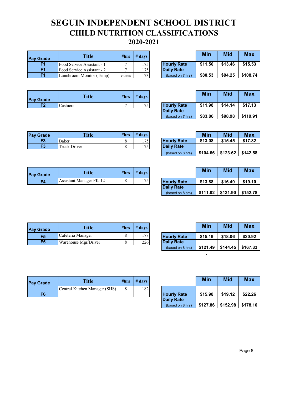### **SEGUIN INDEPENDENT SCHOOL DISTRICT CHILD NUTRITION CLASSIFICATIONS 2020-2021**

| <b>Pay Grade</b> | <b>Title</b>               | #hrs   | $#$ davs |                    | Min     | Mid     | Max      |
|------------------|----------------------------|--------|----------|--------------------|---------|---------|----------|
|                  | Food Service Assistant - 1 | е      | 175      | <b>Hourly Rate</b> | \$11.50 | \$13.46 | \$15.53  |
| F1               | Food Service Assistant - 2 |        | 175      | <b>Daily Rate</b>  |         |         |          |
| F1               | Lunchroom Monitor (Temp)   | varies | 173      | (based on 7 hrs)   | \$80.53 | \$94.25 | \$108.74 |

|                    | Min     | <b>Mid</b> | Max      |
|--------------------|---------|------------|----------|
| <b>Hourly Rate</b> | \$11.50 | \$13.46    | \$15.53  |
| <b>Daily Rate</b>  |         |            |          |
| (based on 7 hrs)   | \$80.53 | \$94.25    | \$108.74 |

| <b>Pay Grade</b> | <b>Title</b> | #hrs | $#$ davs |                    | Min     | Mid     | <b>Max</b> |
|------------------|--------------|------|----------|--------------------|---------|---------|------------|
| <b>CO</b>        | Cashiers     |      | 1751     | <b>Hourly Rate</b> | \$11.98 | \$14.14 | \$17.13    |

|                    | Min     | <b>Mid</b> | <b>Max</b> |
|--------------------|---------|------------|------------|
| <b>Hourly Rate</b> | \$11.98 | \$14.14    | \$17.13    |
| <b>Daily Rate</b>  |         |            |            |
| (based on 7 hrs)   | \$83.86 | \$98.98    | \$119.91   |

| <b>Pay Grade</b> | <b>Title</b>        | #hrs | $#$ days |                    | Min     | Mid     | <b>Max</b> |
|------------------|---------------------|------|----------|--------------------|---------|---------|------------|
| F <sub>3</sub>   | Baker               |      | 175      | <b>Hourly Rate</b> | \$13.08 | \$15.45 | \$17.82    |
| F3               | <b>Truck Driver</b> |      | 1751     | <b>Daily Rate</b>  |         |         |            |

| <b>Pay Grade</b> | <b>Title</b>                   | #hrs | $#$ days |                    | Min     | Mid     | <b>Max</b> |
|------------------|--------------------------------|------|----------|--------------------|---------|---------|------------|
| F4               | <b>Assistant Manager PK-12</b> |      | 175      | <b>Hourly Rate</b> | \$13.88 | \$16.49 | \$19.10    |

|                    | Min     | <b>Mid</b>                    | <b>Max</b> |
|--------------------|---------|-------------------------------|------------|
| <b>Hourly Rate</b> | \$13.08 | \$15.45                       | \$17.82    |
| <b>Daily Rate</b>  |         |                               |            |
| (based on 8 hrs)   |         | $$104.66$ $$123.62$ $$142.58$ |            |

|                    | Min      | <b>Mid</b> | Max      |
|--------------------|----------|------------|----------|
| <b>Hourly Rate</b> | \$13.88  | \$16.49    | \$19.10  |
| <b>Daily Rate</b>  |          |            |          |
| (based on 8 hrs)   | \$111.02 | \$131.90   | \$152.78 |

| <b>Pay Grade</b> | <b>Title</b>         | #hrs | $#$ davs |                    | Min     | Mid     | <b>Max</b> |
|------------------|----------------------|------|----------|--------------------|---------|---------|------------|
| F <sub>5</sub>   | Cafeteria Manager    |      | 178      | <b>Hourly Rate</b> | \$15.19 | \$18.06 | \$20.92    |
| F <sub>5</sub>   | Warehouse Mgr/Driver |      | 226      | Daily Rate         |         |         |            |

|                    | Min      | <b>Mid</b> | <b>Max</b> |
|--------------------|----------|------------|------------|
| <b>Hourly Rate</b> | \$15.19  | \$18.06    | \$20.92    |
| <b>Daily Rate</b>  |          |            |            |
| (based on 8 hrs)   | \$121.49 | \$144.45   | \$167.33   |

.

| <b>Pav Grade</b> | <b>Title</b>                  | #hrs | $#$ days |                    | Min     | <b>Mid</b> | <b>Max</b> |
|------------------|-------------------------------|------|----------|--------------------|---------|------------|------------|
|                  | Central Kitchen Manager (SHS) |      | 182      |                    |         |            |            |
| F6               |                               |      |          | <b>Hourly Rate</b> | \$15.98 | \$19.12    | \$22.2     |

|                    | Min      | Mid      | Max      |
|--------------------|----------|----------|----------|
| <b>Hourly Rate</b> | \$15.98  | \$19.12  | \$22.26  |
| <b>Daily Rate</b>  |          |          |          |
| (based on 8 hrs)   | \$127.86 | \$152.98 | \$178.10 |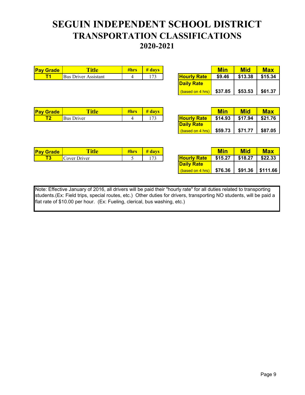### **SEGUIN INDEPENDENT SCHOOL DISTRICT TRANSPORTATION CLASSIFICATIONS 2020-2021**

| <b>Pay Grade</b> | <b>Title</b>                | - 4 ш. | davs |                       | <b>NAC</b> | <b>STAR</b><br>MIC | <b>Max</b> |
|------------------|-----------------------------|--------|------|-----------------------|------------|--------------------|------------|
|                  | <b>Bus Driver Assistant</b> |        | $-$  | Rate<br><b>Hourly</b> | \$9.46     | \$13.38            | \$15.34    |

|                    | Min     | Mid     | <b>Max</b> |
|--------------------|---------|---------|------------|
| <b>Hourly Rate</b> | \$9.46  | \$13.38 | \$15.34    |
| <b>Daily Rate</b>  |         |         |            |
| (based on 4 hrs)   | \$37.85 | \$53.53 | \$61.37    |

| <b>Pay</b><br><b>Grade</b> | <b>Title</b>  | 7III IS | davs   |                 | <b>NAS</b> | <b>BALL</b><br>IVIIO | <b>Max</b> |
|----------------------------|---------------|---------|--------|-----------------|------------|----------------------|------------|
| . .                        | Bus<br>Driver |         | $\sim$ | Rate<br>'Hourly | \$14.93    | \$17.94              | \$21.76    |

|                    | Min     | Mid     | <b>Max</b> |
|--------------------|---------|---------|------------|
| <b>Hourly Rate</b> | \$14.93 | \$17.94 | \$21.76    |
| <b>Daily Rate</b>  |         |         |            |
| (based on 4 hrs)   | \$59.73 | \$71.77 | \$87.05    |

| <b>Pay Grade</b> | ïtle         | #hrs | #<br>davs |                       |         | Mid     | <b>Max</b> |
|------------------|--------------|------|-----------|-----------------------|---------|---------|------------|
|                  | Cover Driver |      | $\sim$    | Rate<br><b>Hourly</b> | \$15.27 | \$18.27 | \$22.33    |
|                  |              |      |           | .                     |         |         |            |

|                    | Min     | Mid     | <b>Max</b> |
|--------------------|---------|---------|------------|
| <b>Hourly Rate</b> | \$15.27 | \$18.27 | \$22.33    |
| <b>Daily Rate</b>  |         |         |            |
| (based on 4 hrs)   | \$76.36 | \$91.36 | \$111.66   |

Note: Effective January of 2016, all drivers will be paid their "hourly rate" for all duties related to transporting students.(Ex: Field trips, special routes, etc.) Other duties for drivers, transporting NO students, will be paid a flat rate of \$10.00 per hour. (Ex: Fueling, clerical, bus washing, etc.)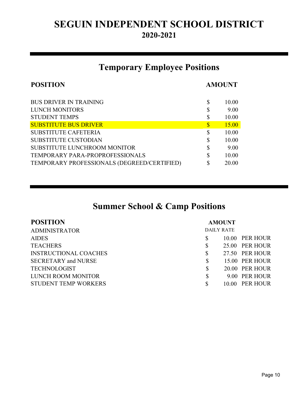# **2020-2021 SEGUIN INDEPENDENT SCHOOL DISTRICT**

# **Temporary Employee Positions**

| <b>POSITION</b>                             |                           | <b>AMOUNT</b> |  |
|---------------------------------------------|---------------------------|---------------|--|
| <b>BUS DRIVER IN TRAINING</b>               | \$                        | 10.00         |  |
| LUNCH MONITORS                              | S                         | 9.00          |  |
| <b>STUDENT TEMPS</b>                        | \$                        | 10.00         |  |
| <b>SUBSTITUTE BUS DRIVER</b>                | $\boldsymbol{\mathsf{S}}$ | <b>15.00</b>  |  |
| <b>SUBSTITUTE CAFETERIA</b>                 | S                         | 10.00         |  |
| <b>SUBSTITUTE CUSTODIAN</b>                 | \$                        | 10.00         |  |
| SUBSTITUTE LUNCHROOM MONITOR                | \$                        | 9.00          |  |
| TEMPORARY PARA-PROPROFESSIONALS             | \$                        | 10.00         |  |
| TEMPORARY PROFESSIONALS (DEGREED/CERTIFIED) | \$                        | 20.00         |  |
|                                             |                           |               |  |

# **Summer School & Camp Positions**

| <b>POSITION</b>              |    | <b>AMOUNT</b>     |                |
|------------------------------|----|-------------------|----------------|
| <b>ADMINISTRATOR</b>         |    | <b>DAILY RATE</b> |                |
| <b>AIDES</b>                 | S  |                   | 10.00 PER HOUR |
| <b>TEACHERS</b>              | \$ |                   | 25.00 PER HOUR |
| <b>INSTRUCTIONAL COACHES</b> | \$ |                   | 27.50 PER HOUR |
| <b>SECRETARY and NURSE</b>   | \$ |                   | 15.00 PER HOUR |
| <b>TECHNOLOGIST</b>          | \$ |                   | 20.00 PER HOUR |
| LUNCH ROOM MONITOR           | \$ |                   | 9.00 PER HOUR  |
| <b>STUDENT TEMP WORKERS</b>  | S  |                   | 10.00 PER HOUR |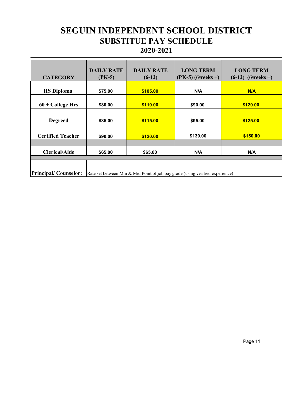### **SEGUIN INDEPENDENT SCHOOL DISTRICT SUBSTITUE PAY SCHEDULE 2020-2021**

| <b>CATEGORY</b>                                                                                              | <b>DAILY RATE</b><br>$(PK-5)$ | <b>DAILY RATE</b><br>$(6-12)$ | <b>LONG TERM</b><br>$(PK-5)$ (6weeks +) | <b>LONG TERM</b><br>$(6-12)$ (6weeks +) |  |
|--------------------------------------------------------------------------------------------------------------|-------------------------------|-------------------------------|-----------------------------------------|-----------------------------------------|--|
| <b>HS Diploma</b>                                                                                            | \$75.00                       | \$105.00                      | N/A                                     | N/A                                     |  |
| $60 + College Hrs$                                                                                           | \$80.00                       | \$110.00                      | \$90.00                                 | \$120.00                                |  |
| <b>Degreed</b>                                                                                               | \$85.00                       | \$115.00                      | \$95.00                                 | \$125.00                                |  |
| <b>Certified Teacher</b>                                                                                     | \$90.00                       | \$120.00                      | \$130.00                                | \$150.00                                |  |
|                                                                                                              |                               |                               |                                         |                                         |  |
| <b>Clerical/Aide</b>                                                                                         | \$65.00                       | \$65.00                       | N/A                                     | N/A                                     |  |
|                                                                                                              |                               |                               |                                         |                                         |  |
| <b>Principal/Counselor:</b><br>Rate set between Min & Mid Point of job pay grade (using verified experience) |                               |                               |                                         |                                         |  |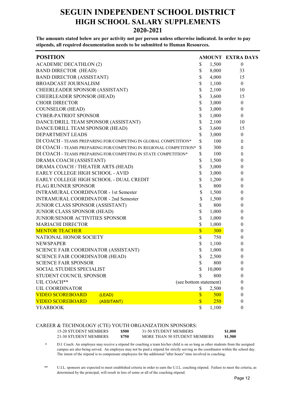#### **SEGUIN INDEPENDENT SCHOOL DISTRICT HIGH SCHOOL SALARY SUPPLEMENTS 2020-2021**

**The amounts stated below are per activity not per person unless otherwise indicated. In order to pay stipends, all required documentation needs to be submitted to Human Resources.**

| <b>POSITION</b>                                                   |                         |            | AMOUNT EXTRA DAYS |
|-------------------------------------------------------------------|-------------------------|------------|-------------------|
| <b>ACADEMIC DECATHLON (2)</b>                                     | \$                      | 1,500      | $\boldsymbol{0}$  |
| <b>BAND DIRECTOR (HEAD)</b>                                       | \$                      | 8,000      | 33                |
| <b>BAND DIRECTOR (ASSISTANT)</b>                                  | \$                      | 4,000      | 15                |
| BROADCAST JOURNALISM                                              | \$                      | 1,100      | $\theta$          |
| CHEERLEADER SPONSOR (ASSISTANT)                                   | \$                      | 2,100      | 10                |
| CHEERLEADER SPONSOR (HEAD)                                        | \$                      | 3,600      | 15                |
| <b>CHOIR DIRECTOR</b>                                             | \$                      | 3,000      | $\boldsymbol{0}$  |
| <b>COUNSELOR (HEAD)</b>                                           | \$                      | 3,000      | $\boldsymbol{0}$  |
| <b>CYBER-PATRIOT SPONSOR</b>                                      | \$                      | 1,000      | $\mathbf{0}$      |
| DANCE/DRILL TEAM SPONSOR (ASSISTANT)                              | \$                      | 2,100      | 10                |
| DANCE/DRILL TEAM SPONSOR (HEAD)                                   | \$                      | 3,600      | 15                |
| DEPARTMENT LEADS                                                  | \$                      | 3,000      | $\boldsymbol{0}$  |
| DI COACH - TEAMS PREPARING FOR/COMPETING IN GLOBAL COMPETITION*   | \$                      | 100        | 0                 |
| DI COACH - TEAMS PREPARING FOR/COMPETING IN REGIONAL COMPETITION* | \$                      | 300        | 0                 |
| DI COACH - TEAMS PREPARING FOR/COMPETING IN STATE COMPETITION*    | \$                      | 100        | 0                 |
| DRAMA COACH (ASSISTANT)                                           | \$                      | 1,500      | 0                 |
| DRAMA COACH / THEATER ARTS (HEAD)                                 | \$                      | 3,000      | 0                 |
| EARLY COLLEGE HIGH SCHOOL - AVID                                  | \$                      | 3,000      | 0                 |
| EARLY COLLEGE HIGH SCHOOL - DUAL CREDIT                           | \$                      | 1,200      | 0                 |
| <b>FLAG RUNNER SPONSOR</b>                                        | \$                      | 800        | 0                 |
| <b>INTRAMURAL COORDINATOR - 1st Semester</b>                      | \$                      | 1,500      | 0                 |
| <b>INTRAMURAL COORDINATOR - 2nd Semester</b>                      | \$                      | 1,500      | 0                 |
| JUNIOR CLASS SPONSOR (ASSISTANT)                                  | \$                      | 800        | 0                 |
| <b>JUNIOR CLASS SPONSOR (HEAD)</b>                                | \$                      | 1,000      | 0                 |
| JUNIOR/SENIOR ACTIVITIES SPONSOR                                  | \$                      | 1,000      | 0                 |
| <b>MARIACHI DIRECTOR</b>                                          | \$                      | 1,000      | $\boldsymbol{0}$  |
| <b>MENTOR TEACHER</b>                                             | $\overline{\mathbb{S}}$ | 300        | 0                 |
| NATIONAL HONOR SOCIETY                                            | \$                      | 750        | 0                 |
| NEWSPAPER                                                         | \$                      | 1,100      | 0                 |
| SCIENCE FAIR COORDINATOR (ASSISTANT)                              | \$                      | 1,000      | 0                 |
| <b>SCIENCE FAIR COORDINATOR (HEAD)</b>                            | \$                      | 2,500      | 0                 |
| <b>SCIENCE FAIR SPONSOR</b>                                       | \$                      | 800        | 0                 |
| <b>SOCIAL STUDIES SPECIALIST</b>                                  | \$                      | 10,000     | 0                 |
| STUDENT COUNCIL SPONSOR                                           | \$                      | 800        | 0                 |
| (see bottom statement)<br>UIL COACH**                             |                         |            | 0                 |
| <b>UIL COORDINATOR</b>                                            | \$                      | 2,500      | 0                 |
| <b>VIDEO SCOREBOARD</b><br>(LEAD)                                 | $\overline{\mathbb{S}}$ | <b>500</b> | 0                 |
| (ASSITANT)<br><b>VIDEO SCOREBOARD</b>                             | $\overline{\textbf{S}}$ | 250        | 0                 |
| YEARBOOK                                                          | \$                      | 1,100      | $\theta$          |

# CAREER & TECHNOLOGY (CTE) YOUTH ORGANIZATION SPONSORS:<br>15-20 STUDENT MEMBERS 5500 31-50 STUDENT MEMBERS

15-20 STUDENT MEMBERS **\$500** 31-50 STUDENT MEMBERS **\$1,000** 21-30 STUDENT MEMBERS **\$750** MORE THAN 50 STUDENT MEMBERS **\$1,500**

D.I. Coach: An employee may receive a stipend for coaching a team his/her child is on so long as other students from the assigned campus are also being served. An employee may not be paid a stipend for strictly serving as the coordinator within the school day. The intent of the stipend is to compensate employees for the additional "after hours" time involved in coaching. **\***

U.I.L. sponsors are expected to meet established criteria in order to earn the U.I.L. coaching stipend. Failure to meet the criteria, as determined by the principal, will result in loss of some or all of the coaching stipend. \*\*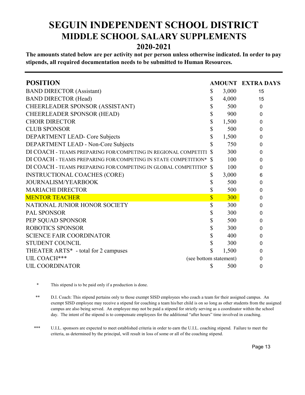### **SEGUIN INDEPENDENT SCHOOL DISTRICT MIDDLE SCHOOL SALARY SUPPLEMENTS 2020-2021**

**The amounts stated below are per activity not per person unless otherwise indicated. In order to pay stipends, all required documentation needs to be submitted to Human Resources.**

| <b>POSITION</b>                                                |                        |                         |       | <b>AMOUNT EXTRA DAYS</b> |
|----------------------------------------------------------------|------------------------|-------------------------|-------|--------------------------|
| <b>BAND DIRECTOR (Assistant)</b>                               |                        | \$                      | 3,000 | 15                       |
| <b>BAND DIRECTOR (Head)</b>                                    |                        | \$                      | 4,000 | 15                       |
| CHEERLEADER SPONSOR (ASSISTANT)                                |                        | \$                      | 500   | $\mathbf{0}$             |
| <b>CHEERLEADER SPONSOR (HEAD)</b>                              |                        | \$                      | 900   | 0                        |
| <b>CHOIR DIRECTOR</b>                                          |                        | \$                      | 1,500 | 0                        |
| <b>CLUB SPONSOR</b>                                            |                        | \$                      | 500   | 0                        |
| DEPARTMENT LEAD- Core Subjects                                 |                        | \$                      | 1,500 | 0                        |
| DEPARTMENT LEAD - Non-Core Subjects                            |                        | \$                      | 750   | 0                        |
| DI COACH - TEAMS PREPARING FOR/COMPETING IN REGIONAL COMPETITI |                        |                         | 300   | 0                        |
| DI COACH - TEAMS PREPARING FOR/COMPETING IN STATE COMPETITION* |                        | -S                      | 100   | 0                        |
| DI COACH - TEAMS PREPARING FOR/COMPETING IN GLOBAL COMPETITION |                        | <sup>S</sup>            | 100   | 0                        |
| <b>INSTRUCTIONAL COACHES (CORE)</b>                            |                        | \$                      | 3,000 | 6                        |
| <b>JOURNALISM/YEARBOOK</b>                                     |                        | \$                      | 500   | 0                        |
| <b>MARIACHI DIRECTOR</b>                                       |                        | \$                      | 500   | 0                        |
| <b>MENTOR TEACHER</b>                                          |                        | $\overline{\mathbb{S}}$ | 300   | 0                        |
| NATIONAL JUNIOR HONOR SOCIETY                                  |                        | \$                      | 300   | 0                        |
| <b>PAL SPONSOR</b>                                             |                        | \$                      | 300   | 0                        |
| PEP SQUAD SPONSOR                                              |                        | \$                      | 500   | 0                        |
| <b>ROBOTICS SPONSOR</b>                                        |                        | \$                      | 300   | 0                        |
| <b>SCIENCE FAIR COORDINATOR</b>                                |                        | \$                      | 400   | 0                        |
| <b>STUDENT COUNCIL</b>                                         |                        | \$                      | 300   | 0                        |
| THEATER ARTS* - total for 2 campuses                           |                        | \$                      | 1,500 | $\Omega$                 |
| UIL COACH***                                                   | (see bottom statement) |                         |       | 0                        |
| <b>UIL COORDINATOR</b>                                         |                        | \$                      | 500   | 0                        |
|                                                                |                        |                         |       |                          |

<sup>\*</sup> This stipend is to be paid only if a production is done.

U.I.L. sponsors are expected to meet established criteria in order to earn the U.I.L. coaching stipend. Failure to meet the criteria, as determined by the principal, will result in loss of some or all of the coaching stipend. \*\*\*

D.I. Coach: This stipend pertains only to those exempt SISD employees who coach a team for their assigned campus. An exempt SISD employee may receive a stipend for coaching a team his/her child is on so long as other students from the assigned campus are also being served. An employee may not be paid a stipend for strictly serving as a coordinator within the school day. The intent of the stipend is to compensate employees for the additional "after hours" time involved in coaching. \*\*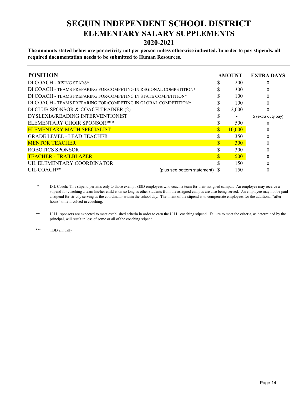### **SEGUIN INDEPENDENT SCHOOL DISTRICT ELEMENTARY SALARY SUPPLEMENTS 2020-2021**

**The amounts stated below are per activity not per person unless otherwise indicated. In order to pay stipends, all required documentation needs to be submitted to Human Resources.**

| <b>POSITION</b>                                                   |                                    | <b>AMOUNT</b> | <b>EXTRA DAYS</b>  |
|-------------------------------------------------------------------|------------------------------------|---------------|--------------------|
| DI COACH - RISING STARS*                                          |                                    | 200           | 0                  |
| DI COACH - TEAMS PREPARING FOR/COMPETING IN REGIONAL COMPETITION* |                                    | 300           | 0                  |
| DI COACH - TEAMS PREPARING FOR/COMPETING IN STATE COMPETITION*    |                                    | 100           |                    |
| DI COACH - TEAMS PREPARING FOR/COMPETING IN GLOBAL COMPETITION*   |                                    | 100           |                    |
| DI CLUB SPONSOR & COACH TRAINER (2)                               |                                    | 2,000         |                    |
| DYSLEXIA/READING INTERVENTIONIST                                  |                                    |               | 5 (extra duty pay) |
| ELEMENTARY CHOIR SPONSOR***                                       |                                    | 500           | O                  |
| <b>ELEMENTARY MATH SPECIALIST</b>                                 |                                    | 10,000        | 0                  |
| <b>GRADE LEVEL - LEAD TEACHER</b>                                 |                                    | 350           |                    |
| <b>MENTOR TEACHER</b>                                             |                                    | <b>300</b>    |                    |
| ROBOTICS SPONSOR                                                  |                                    | 300           | 0                  |
| <b>TEACHER - TRAILBLAZER</b>                                      |                                    | 500           |                    |
| UIL ELEMENTARY COORDINATOR                                        |                                    | 150           |                    |
| UIL COACH**                                                       | (plus see bottom statement) $\,$ S | 150           |                    |

D.I. Coach: This stipend pertains only to those exempt SISD employees who coach a team for their assigned campus. An employee may receive a stipend for coaching a team his/her child is on so long as other students from the assigned campus are also being served. An employee may not be paid a stipend for strictly serving as the coordinator within the school day. The intent of the stipend is to compensate employees for the additional "after hours" time involved in coaching. \*

U.I.L. sponsors are expected to meet established criteria in order to earn the U.I.L. coaching stipend. Failure to meet the criteria, as determined by the principal, will result in loss of some or all of the coaching stipend. \*\*

\*\*\* TBD annually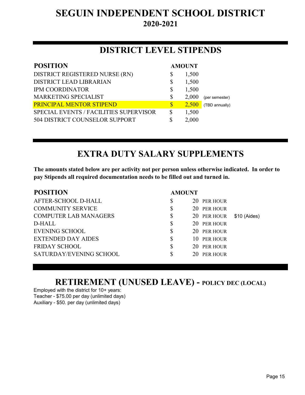# **SEGUIN INDEPENDENT SCHOOL DISTRICT 2020-2021**

### **DISTRICT LEVEL STIPENDS**

| <b>POSITION</b>                        | <b>AMOUNT</b> |                |
|----------------------------------------|---------------|----------------|
| DISTRICT REGISTERED NURSE (RN)         | \$<br>1,500   |                |
| <b>DISTRICT LEAD LIBRARIAN</b>         | \$<br>1,500   |                |
| <b>IPM COORDINATOR</b>                 | \$<br>1,500   |                |
| MARKETING SPECIALIST                   | \$<br>2,000   | (per semester) |
| <b>PRINCIPAL MENTOR STIPEND</b>        | \$<br>2,500   | (TBD annually) |
| SPECIAL EVENTS / FACILITIES SUPERVISOR | \$<br>1,500   |                |
| 504 DISTRICT COUNSELOR SUPPORT         | \$<br>2,000   |                |
|                                        |               |                |

# **EXTRA DUTY SALARY SUPPLEMENTS**

**The amounts stated below are per activity not per person unless otherwise indicated. In order to pay Stipends all required documentation needs to be filled out and turned in.**

| <b>POSITION</b>              | <b>AMOUNT</b> |             |              |
|------------------------------|---------------|-------------|--------------|
| AFTER-SCHOOL D-HALL          | \$            | 20 PER HOUR |              |
| <b>COMMUNITY SERVICE</b>     | S             | 20 PER HOUR |              |
| <b>COMPUTER LAB MANAGERS</b> | \$            | 20 PER HOUR | \$10 (Aides) |
| D-HALL                       | \$            | 20 PER HOUR |              |
| <b>EVENING SCHOOL</b>        | \$            | 20 PER HOUR |              |
| <b>EXTENDED DAY AIDES</b>    | \$            | 10 PER HOUR |              |
| <b>FRIDAY SCHOOL</b>         | \$            | 20 PER HOUR |              |
| SATURDAY/EVENING SCHOOL      | \$            | 20 PER HOUR |              |
|                              |               |             |              |

### **RETIREMENT (UNUSED LEAVE) - POLICY DEC (LOCAL)**

Employed with the district for 10+ years: Teacher - \$75.00 per day (unlimited days) Auxiliary - \$50. per day (unlimited days)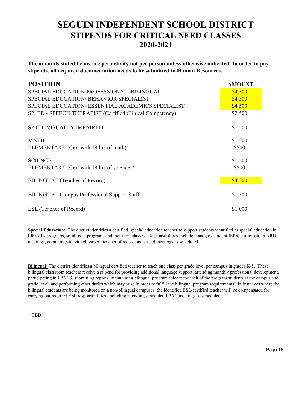### **SEGUIN INDEPENDENT SCHOOL DISTRICT STIPENDS FOR CRITICAL NEED CLASSES 2020-2021**

**The amounts stated below are per activity not per person unless otherwise indicated. In order to pay stipends, all required documentation needs to be submitted to Human Resources.**

| <b>POSITION</b>                                           | <b>AMOUNT</b> |
|-----------------------------------------------------------|---------------|
| SPECIAL EDUCATION PROFESSIONAL-BILINGUAL                  | \$4,500       |
| SPECIAL EDUCATION/ BEHAVIOR SPECIALIST                    | \$4,500       |
| SPECIAL EDUCATION/ ESSENTIAL ACADEMICS SPECIALIST         | \$4,500       |
| SP. ED.- SPEECH THERAPIST (Certified Clinical Competency) | \$2,500       |
| <b>SP.ED- VISUALLY IMPAIRED</b>                           | \$1,500       |
| MATH                                                      | \$1,500       |
| ELEMENTARY (Cert with 18 hrs of math)*                    | \$500         |
| <b>SCIENCE</b>                                            | \$1,500       |
| ELEMENTARY (Cert with 18 hrs of science)*                 | \$500         |
| BILINGUAL (Teacher of Record)                             | \$4,500       |
| <b>BILINGUAL Campus Professional Support Staff</b>        | \$1,500       |
| ESL (Teacher of Record)                                   | \$1,000       |

**Special Education:** The district identifies a certified, special education teacher to support students identified as special education in life skills programs, solid roots programs and inclusion classes. Responsibilities include managing student IEP's, participate in ARD meetings, communicate with classroom teacher of record and attend meetings as scheduled.

**Bilingual:** The district identifies a bilingual certified teacher to teach one class per grade level per campus in grades K-5. These bilingual classroom teachers receive a stipend for providing additional language support, attending monthly professional development, participating in LPACS, submitting reports, maintaining bilingual program folders for each of the program students at the campus and grade level, and performing other duties which may arise in order to fulfill the bilingual program requirements. In instances where the bilingual students are being monitored on a non-bilingual campuses, the identified ESL-certified teacher will be compensated for carrying out required ESL responsibilities, including attending scheduled LPAC meetings as scheduled.

**\* TBD**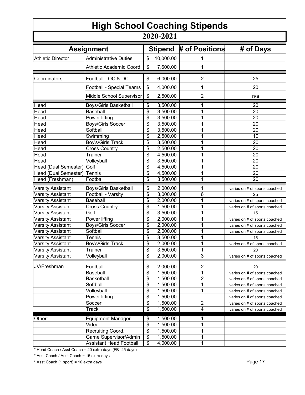| <b>High School Coaching Stipends</b><br>2020-2021 |                                |                          |           |                |                                                                    |
|---------------------------------------------------|--------------------------------|--------------------------|-----------|----------------|--------------------------------------------------------------------|
|                                                   |                                |                          |           |                | # of Positions<br># of Days<br><b>Assignment</b><br><b>Stipend</b> |
| <b>Athletic Director</b>                          | <b>Administrative Duties</b>   | \$                       | 10,000.00 | 1              |                                                                    |
|                                                   | Athletic Academic Coord.       | \$                       | 7,600.00  | 1              |                                                                    |
| Coordinators                                      | Football - OC & DC             | \$                       | 6,000.00  | 2              | 25                                                                 |
|                                                   | Football - Special Teams       | \$                       | 4,000.00  | 1              | 20                                                                 |
|                                                   | Middle School Supervisor       | \$                       | 2,500.00  | $\overline{2}$ | n/a                                                                |
| Head                                              | <b>Boys/Girls Basketball</b>   | \$                       | 3,500.00  | 1              | 20                                                                 |
| Head                                              | <b>Baseball</b>                | \$                       | 3,500.00  | 1              | 20                                                                 |
| Head                                              | Power lifting                  | \$                       | 3,500.00  | 1              | 20                                                                 |
| Head                                              | <b>Boys/Girls Soccer</b>       | \$                       | 3,500.00  | 1              | 20                                                                 |
| Head                                              | Softball                       | \$                       | 3,500.00  | 1              | 20                                                                 |
| Head                                              | Swimming                       | \$                       | 2,500.00  | 1              | 10                                                                 |
| Head                                              | Boy's/Girls Track              | \$                       | 3,500.00  | 1              | 20                                                                 |
| <b>Head</b>                                       | <b>Cross Country</b>           | \$                       | 2,500.00  | 1              | 20                                                                 |
| Head                                              | <b>Trainer</b>                 | \$                       | 4,500.00  | 1              | 20                                                                 |
| Head                                              | Volleyball                     | \$                       | 3,500.00  | 1              | 20                                                                 |
| Head (Dual Semester)                              | Golf                           | \$                       | 4,500.00  | 1              | 20                                                                 |
| Head (Dual Semester)                              | Tennis                         | \$                       | 4,500.00  | 1              | 20                                                                 |
| Head (Freshman)                                   | Football                       | \$                       | 3,500.00  | 1              | 20                                                                 |
| <b>Varsity Assistant</b>                          | <b>Boys/Girls Basketball</b>   | \$                       | 2,000.00  | 1              | varies on # of sports coached                                      |
| <b>Varsity Assistant</b>                          | Football - Varsity             | \$                       | 3,000.00  | 6              | 25                                                                 |
| Varsity Assistant                                 | <b>Baseball</b>                | \$                       | 2,000.00  | 1              | varies on # of sports coached                                      |
| Varsity Assistant                                 | <b>Cross Country</b>           | \$                       | 1,500.00  | 1              | varies on # of sports coached                                      |
| <b>Varsity Assistant</b>                          | Golf                           | \$                       | 3,500.00  | 1              | 15                                                                 |
| Varsity Assistant                                 | Power lifting                  | \$                       | 2,000.00  | 1              | varies on # of sports coached                                      |
| <b>Varsity Assistant</b>                          | <b>Boys/Girls Soccer</b>       | \$                       | 2,000.00  | 1              | varies on # of sports coached                                      |
| <b>Varsity Assistant</b>                          | Softball                       | $\overline{\mathcal{S}}$ | 2,000.00  | 1              | varies on # of sports coached                                      |
| <b>Varsity Assistant</b>                          | <b>Tennis</b>                  | \$                       | 3,500.00  | 1              | 15                                                                 |
| <b>Varsity Assistant</b>                          | Boy's/Girls Track              | \$                       | 2,000.00  | 1              | varies on # of sports coached                                      |
| <b>Varsity Assistant</b>                          | Trainer                        | \$                       | 3,500.00  | 1              | 20                                                                 |
| <b>Varsity Assistant</b>                          | Volleyball                     | \$                       | 2,000.00  | $\overline{3}$ | varies on # of sports coached                                      |
| JV/Freshman                                       | Football                       | \$                       | 2,000.00  | $\overline{2}$ | 20                                                                 |
|                                                   | <b>Baseball</b>                | $\overline{\$}$          | 1,500.00  | $\overline{1}$ | varies on # of sports coached                                      |
|                                                   | Basketball                     | $\overline{\$}$          | 1,500.00  | $\overline{2}$ | varies on # of sports coached                                      |
|                                                   | Softball                       | \$                       | 1,500.00  | $\mathbf{1}$   | varies on # of sports coached                                      |
|                                                   | Volleyball                     | \$                       | 1,500.00  | $\mathbf 1$    | varies on # of sports coached                                      |
|                                                   | Power lifting                  | \$                       | 1,500.00  |                | varies on # of sports coached                                      |
|                                                   | Soccer                         | \$                       | 1,500.00  | $\overline{c}$ | varies on # of sports coached                                      |
|                                                   | <b>Track</b>                   | $\overline{\$}$          | 1,500.00  | $\overline{4}$ | varies on # of sports coached                                      |
| Other:                                            | <b>Equipment Manager</b>       | \$                       | 1,500.00  | 1              |                                                                    |
|                                                   | Video                          | \$                       | 1,500.00  | 1              |                                                                    |
|                                                   | Recruiting Coord.              | \$                       | 1,500.00  | 1              |                                                                    |
|                                                   | Game Supervisor/Admin          | \$                       | 1,500.00  | $\mathbf 1$    |                                                                    |
|                                                   | <b>Assistant Head Football</b> | $\overline{\$}$          | 4,000.00  | $\mathbf{1}$   |                                                                    |

\* Head Coach / Asst Coach = 20 extra days (FB- 25 days)

\* Asst Coach / Asst Coach = 15 extra days

\* Asst Coach (1 sport) = 10 extra days Page 17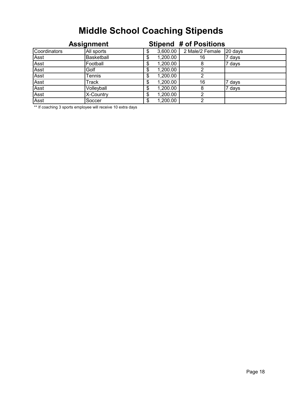# **Middle School Coaching Stipends**

| <b>Assignment</b> |            |   | <b>Stipend # of Positions</b> |                 |         |
|-------------------|------------|---|-------------------------------|-----------------|---------|
| Coordinators      | All sports |   | 3,600.00                      | 2 Male/2 Female | 20 days |
| Asst              | Basketball |   | 1,200.00                      | 16              | 7 days  |
| Asst              | Football   |   | 1,200.00                      | 8               | 7 days  |
| Asst              | Golf       |   | 1,200.00                      | ∩               |         |
| Asst              | Tennis     |   | 1,200.00                      |                 |         |
| Asst              | Track      |   | 1,200.00                      | 16              | 7 days  |
| Asst              | Volleyball |   | 1,200.00                      | 8               | 7 days  |
| Asst              | X-Country  |   | 1,200.00                      |                 |         |
| Asst              | Soccer     | S | 1,200.00                      | っ               |         |

\*\* If coaching 3 sports employee will receive 10 extra days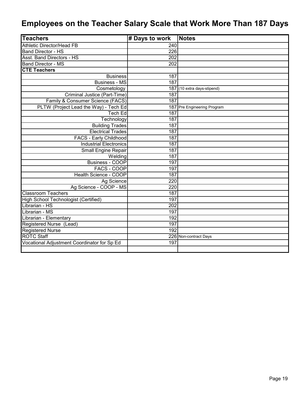# **Employees on the Teacher Salary Scale that Work More Than 187 Days**

| <b>Teachers</b>                             | # Days to work | <b>Notes</b>                |
|---------------------------------------------|----------------|-----------------------------|
| <b>Athletic Director/Head FB</b>            | 240            |                             |
| Band Director - HS                          | 226            |                             |
| <b>Asst. Band Directors - HS</b>            | 202            |                             |
| <b>Band Director - MS</b>                   | 202            |                             |
| <b>CTE Teachers</b>                         |                |                             |
| <b>Business</b>                             | 187            |                             |
| <b>Business - MS</b>                        | 187            |                             |
| Cosmetology                                 | 187            | (10 extra days-stipend)     |
| Criminal Justice (Part-Time)                | 187            |                             |
| Family & Consumer Science (FACS)            | 187            |                             |
| PLTW (Project Lead the Way) - Tech Ed       |                | 187 Pre Engineering Program |
| Tech Ed                                     | 187            |                             |
| Technology                                  | 187            |                             |
| <b>Building Trades</b>                      | 187            |                             |
| <b>Electrical Trades</b>                    | 187            |                             |
| <b>FACS - Early Childhood</b>               | 187            |                             |
| <b>Industrial Electronics</b>               | 187            |                             |
| Small Engine Repair                         | 187            |                             |
| Welding                                     | 187            |                             |
| <b>Business - COOP</b>                      | 197            |                             |
| FACS - COOP                                 | 197            |                             |
| <b>Health Science - COOP</b>                | 187            |                             |
| Ag Science                                  | 220            |                             |
| Ag Science - COOP - MS                      | 220            |                             |
| Classroom Teachers                          | 187            |                             |
| <b>High School Technologist (Certified)</b> | 197            |                             |
| I<br>Librarian - HS                         | 202            |                             |
| Γ<br>Librarian - MS                         | 197            |                             |
| Γ<br>Librarian - Elementary                 | 192            |                             |
| Registered Nurse (Lead)                     | 197            |                             |
| <b>Registered Nurse</b>                     | 192            |                             |
| <b>ROTC Staff</b>                           |                | 226 Non-contract Days       |
| Vocational Adjustment Coordinator for Sp Ed | 197            |                             |
|                                             |                |                             |